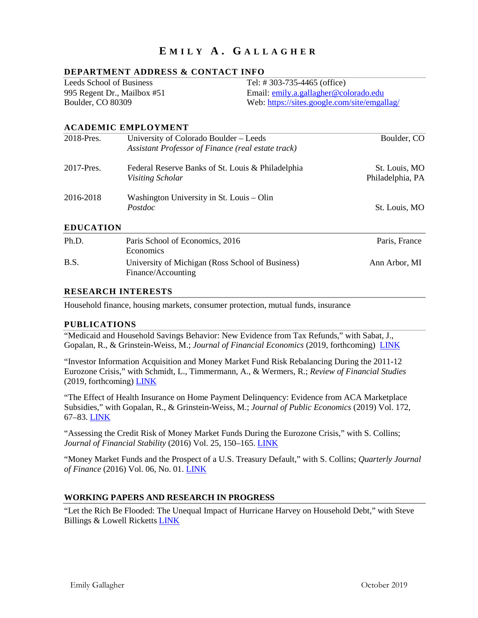# **E MILY A . G ALLAGHER**

#### **DEPARTMENT ADDRESS & CONTACT INFO**

Leeds School of Business 995 Regent Dr., Mailbox #51 Boulder, CO 80309

Tel: # 303-735-4465 (office) Email: [emily.a.gallagher@colorado.edu](mailto:emily.a.gallagher@colorado.edu) Web:<https://sites.google.com/site/emgallag/>

#### **ACADEMIC EMPLOYMENT**

| 2018-Pres.       | University of Colorado Boulder – Leeds<br>Assistant Professor of Finance (real estate track) | Boulder, CO                       |
|------------------|----------------------------------------------------------------------------------------------|-----------------------------------|
| 2017-Pres.       | Federal Reserve Banks of St. Louis & Philadelphia<br>Visiting Scholar                        | St. Louis, MO<br>Philadelphia, PA |
| 2016-2018        | Washington University in St. Louis – Olin<br>Postdoc                                         | St. Louis, MO                     |
| <b>EDUCATION</b> |                                                                                              |                                   |

#### Ph.D. B.S. Paris School of Economics, 2016 Economics University of Michigan (Ross School of Business) Finance/Accounting Paris, France Ann Arbor, MI

#### **RESEARCH INTERESTS**

Household finance, housing markets, consumer protection, mutual funds, insurance

#### **PUBLICATIONS**

"Medicaid and Household Savings Behavior: New Evidence from Tax Refunds," with Sabat, J., Gopalan, R., & Grinstein-Weiss, M.; *Journal of Financial Economics* (2019, forthcoming) [LINK](https://doi.org/10.1016/j.jfineco.2019.10.008) 

"Investor Information Acquisition and Money Market Fund Risk Rebalancing During the 2011-12 Eurozone Crisis," with Schmidt, L., Timmermann, A., & Wermers, R.; *Review of Financial Studies* (2019, forthcoming) [LINK](https://academic.oup.com/rfs/advance-article-abstract/doi/10.1093/rfs/hhz071/5528506) 

"The Effect of Health Insurance on Home Payment Delinquency: Evidence from ACA Marketplace Subsidies," with Gopalan, R., & Grinstein-Weiss, M.; *Journal of Public Economics* (2019) Vol. 172, 67–83. [LINK](https://doi.org/10.1016/j.jpubeco.2018.12.007)

"Assessing the Credit Risk of Money Market Funds During the Eurozone Crisis," with S. Collins; *Journal of Financial Stability* (2016) Vol. 25, 150–165. [LINK](https://www.sciencedirect.com/science/article/pii/S1572308915001370)

"Money Market Funds and the Prospect of a U.S. Treasury Default," with S. Collins; *Quarterly Journal of Finance* (2016) Vol. 06, No. 01. [LINK](https://www.worldscientific.com/doi/abs/10.1142/S2010139216400012)

#### **WORKING PAPERS AND RESEARCH IN PROGRESS**

"Let the Rich Be Flooded: The Unequal Impact of Hurricane Harvey on Household Debt," with Steve Billings & Lowell Ricketts [LINK](https://papers.ssrn.com/sol3/papers.cfm?abstract_id=3396611)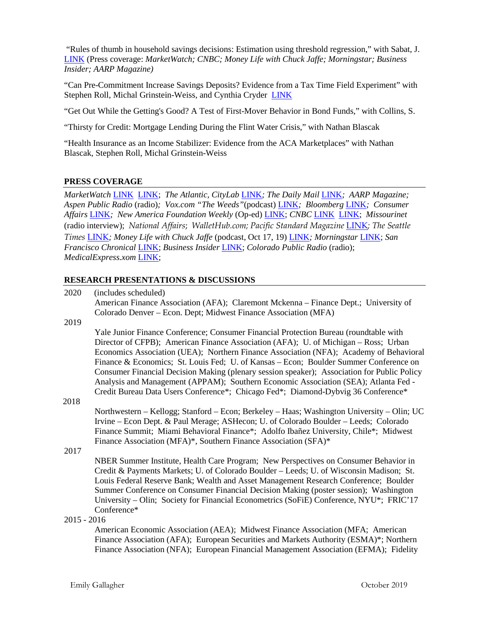"Rules of thumb in household savings decisions: Estimation using threshold regression," with Sabat, J. [LINK](https://papers.ssrn.com/sol3/papers.cfm?abstract_id=3455696) (Press coverage: *MarketWatch; CNBC; Money Life with Chuck Jaffe; Morningstar; Business Insider; AARP Magazine)*

"Can Pre-Commitment Increase Savings Deposits? Evidence from a Tax Time Field Experiment" with Stephen Roll, Michal Grinstein-Weiss, and Cynthia Cryder [LINK](https://papers.ssrn.com/sol3/papers.cfm?abstract_id=3464634)

"Get Out While the Getting's Good? A Test of First-Mover Behavior in Bond Funds," with Collins, S.

"Thirsty for Credit: Mortgage Lending During the Flint Water Crisis," with Nathan Blascak

"Health Insurance as an Income Stabilizer: Evidence from the ACA Marketplaces" with Nathan Blascak, Stephen Roll, Michal Grinstein-Weiss

#### **PRESS COVERAGE**

*MarketWatch* [LINK](https://www.marketwatch.com/story/having-health-insurance-reduces-housing-delinquencies-study-finds-2019-02-12)[LINK;](https://www.marketwatch.com/story/why-2467-could-be-the-magic-number-for-emergency-savings-2019-10-15) *The Atlantic, CityLab* [LINK](https://www.citylab.com/equity/2018/12/obamacare-health-insurance-housing-rent-payments/577099/?utm_source=feed)*; The Daily Mail* [LINK](https://www.dailymail.co.uk/news/article-6505551/Health-insurance-house-payments-Obamacare-poor-Americans-pay-rent-mortgages-reducing-health-costs.html)*; AARP Magazine; Aspen Public Radio* (radio)*; Vox.com "The Weeds"*(podcast) [LINK](https://www.vox.com/2017/10/17/16490894/the-weeds-policy-implications-harvey-weinstein)*; Bloomberg* [LINK](https://www.bloomberg.com/news/articles/2017-01-31/cities-could-save-millions-of-dollars-by-preventing-evictions)*; Consumer Affairs* [LINK](https://www.consumeraffairs.com/news/researchers-find-unintended-result-of-health-insurance-011617.html)*; New America Foundation Weekly* (Op-ed) [LINK;](https://www.newamerica.org/weekly/edition-148/obamacare-has-benefits-extend-beyond-hospitaland-housing/) *CNBC* [LINK](https://www.cnbc.com/2019/01/29/obamacare-helps-save-low-income-people-from-losing-homes-study-shows.html) [LINK;](https://www.cnbc.com/2019/10/18/minimum-amount-of-money-you-need-in-an-emergency-fund.html) *Missourinet* (radio interview); *National Affairs*; *WalletHub.com; Pacific Standard Magazine* [LINK](https://psmag.com/economics/obamacare-helps-pay-the-rent)*; The Seattle Times* [LINK](https://www.seattletimes.com/business/should-emergency-fund-be-used-to-pay-off-card-debt/)*; Money Life with Chuck Jaffe* (podcast, Oct 17, 19) [LINK](http://moneylifeshow.com/)*; Morningstar* [LINK;](https://www.morningstar.com/news/marketwatch/2019101423/why-2467-could-be-the-magic-number-for-emergency-savings) *San Francisco Chronical* [LINK;](https://www.sfchronicle.com/business/article/Android-10-for-Samsung-Galaxy-Google-Pixel-4-14521332.php) *Business Insider* [LINK;](https://www.businessinsider.com/professor-says-americans-need-surprisingly-low-emergency-savings-emily-gallagher-2019-10) *Colorado Public Radio* (radio); *MedicalExpress.xom* [LINK;](https://medicalxpress.com/news/2019-11-financially-stressed-families-medicaid.html)

#### **RESEARCH PRESENTATIONS & DISCUSSIONS**

| 2020          | (includes scheduled)                                                                                                                                                               |              |
|---------------|------------------------------------------------------------------------------------------------------------------------------------------------------------------------------------|--------------|
|               | American Finance Association (AFA); Claremont Mckenna – Finance Dept.; University of                                                                                               |              |
|               | Colorado Denver – Econ. Dept; Midwest Finance Association (MFA)                                                                                                                    |              |
| 2019          |                                                                                                                                                                                    |              |
|               | Yale Junior Finance Conference; Consumer Financial Protection Bureau (roundtable with                                                                                              |              |
|               | Director of CFPB); American Finance Association (AFA); U. of Michigan - Ross; Urban                                                                                                |              |
|               | Economics Association (UEA); Northern Finance Association (NFA); Academy of Behavioral<br>Finance & Economics; St. Louis Fed; U. of Kansas – Econ; Boulder Summer Conference on    |              |
|               | Consumer Financial Decision Making (plenary session speaker); Association for Public Policy<br>Analysis and Management (APPAM); Southern Economic Association (SEA); Atlanta Fed - |              |
|               | Credit Bureau Data Users Conference*; Chicago Fed*; Diamond-Dybvig 36 Conference*                                                                                                  |              |
| 2018          |                                                                                                                                                                                    |              |
|               | Northwestern - Kellogg; Stanford - Econ; Berkeley - Haas; Washington University - Olin; UC                                                                                         |              |
|               | Irvine - Econ Dept. & Paul Merage; ASHecon; U. of Colorado Boulder - Leeds; Colorado                                                                                               |              |
|               | Finance Summit; Miami Behavioral Finance*; Adolfo Ibañez University, Chile*; Midwest                                                                                               |              |
|               | Finance Association (MFA)*, Southern Finance Association (SFA)*                                                                                                                    |              |
| 2017          |                                                                                                                                                                                    |              |
|               | NBER Summer Institute, Health Care Program; New Perspectives on Consumer Behavior in                                                                                               |              |
|               | Credit & Payments Markets; U. of Colorado Boulder - Leeds; U. of Wisconsin Madison; St.                                                                                            |              |
|               | Louis Federal Reserve Bank; Wealth and Asset Management Research Conference; Boulder                                                                                               |              |
|               | Summer Conference on Consumer Financial Decision Making (poster session); Washington                                                                                               |              |
|               | University – Olin; Society for Financial Econometrics (SoFiE) Conference, NYU*; FRIC'17<br>Conference*                                                                             |              |
| $2015 - 2016$ |                                                                                                                                                                                    |              |
|               | American Economic Association (AEA); Midwest Finance Association (MFA; American                                                                                                    |              |
|               | Finance Association (AFA); European Securities and Markets Authority (ESMA)*; Northern                                                                                             |              |
|               | Finance Association (NFA); European Financial Management Association (EFMA); Fidelity                                                                                              |              |
|               |                                                                                                                                                                                    |              |
|               |                                                                                                                                                                                    |              |
|               | Emily Gallagher                                                                                                                                                                    | October 2019 |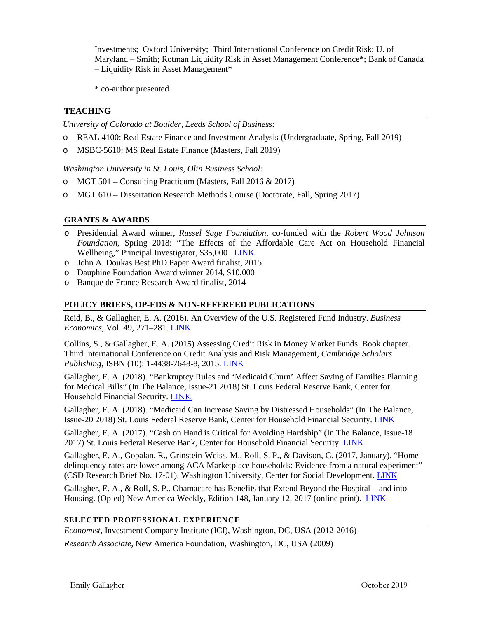Investments; Oxford University; Third International Conference on Credit Risk; U. of Maryland – Smith; Rotman Liquidity Risk in Asset Management Conference\*; Bank of Canada – Liquidity Risk in Asset Management\*

\* co-author presented

### **TEACHING**

*University of Colorado at Boulder, Leeds School of Business:*

- o REAL 4100: Real Estate Finance and Investment Analysis (Undergraduate, Spring, Fall 2019)
- o MSBC-5610: MS Real Estate Finance (Masters, Fall 2019)

*Washington University in St. Louis, Olin Business School:*

- o MGT 501 Consulting Practicum (Masters, Fall 2016 & 2017)
- o MGT 610 Dissertation Research Methods Course (Doctorate, Fall, Spring 2017)

#### **GRANTS & AWARDS**

- o Presidential Award winner, *Russel Sage Foundation*, co-funded with the *Robert Wood Johnson Foundation*, Spring 2018: "The Effects of the Affordable Care Act on Household Financial Wellbeing," Principal Investigator, \$35,000 [LINK](https://www.russellsage.org/awarded-project/medicaid-expansion-and-household-financial-security)
- o John A. Doukas Best PhD Paper Award finalist, 2015
- o Dauphine Foundation Award winner 2014, \$10,000
- o Banque de France Research Award finalist, 2014

#### **POLICY BRIEFS, OP-EDS & NON-REFEREED PUBLICATIONS**

Reid, B., & Gallagher, E. A. (2016). [An Overview of the U.S. Registered Fund Industry.](http://www.econ.ucsd.edu/%7Elschmidt/Pricing%20Kernel%20Monotonicity%20Test.pdf) *Business Economics,* Vol. 49, 271–281. [LINK](https://link.springer.com/article/10.1057/be.2014.28)

Collins, S., & Gallagher, E. A. (2015) Assessing Credit Risk in Money Market Funds. Book chapter. Third International Conference on Credit Analysis and Risk Management, *Cambridge Scholars Publishing*, ISBN (10): 1-4438-7648-8, 2015. [LINK](https://www.cambridgescholars.com/download/sample/62832)

Gallagher, E. A. (2018). "Bankruptcy Rules and 'Medicaid Churn' Affect Saving of Families Planning for Medical Bills" (In The Balance, Issue-21 2018) St. Louis Federal Reserve Bank, Center for Household Financial Security. [LINK](https://www.stlouisfed.org/publications/in-the-balance/issue-21-2018/medicaid-affect-saving)

Gallagher, E. A. (2018). "Medicaid Can Increase Saving by Distressed Households" (In The Balance, Issue-20 2018) St. Louis Federal Reserve Bank, Center for Household Financial Security. [LINK](https://www.stlouisfed.org/publications/in-the-balance/issue-20-2018/distressed-families-save-medicaid)

Gallagher, E. A. (2017). "Cash on Hand is Critical for Avoiding Hardship" (In The Balance, Issue-18 2017) St. Louis Federal Reserve Bank, Center for Household Financial Security. [LINK](https://www.stlouisfed.org/publications/in-the-balance/issue18-2017/cash-on-hand-is-critical-for-avoiding-hardship)

Gallagher, E. A., Gopalan, R., Grinstein-Weiss, M., Roll, S. P., & Davison, G. (2017, January). "Home delinquency rates are lower among ACA Marketplace households: Evidence from a natural experiment" (CSD Research Brief No. 17-01). Washington University, Center for Social Development[. LINK](https://csd.wustl.edu/Publications/Documents/RB17-01.pdf)

Gallagher, E. A., & Roll, S. P.. Obamacare has Benefits that Extend Beyond the Hospital – and into Housing. (Op-ed) New America Weekly, Edition 148, January 12, 2017 (online print). [LINK](https://www.newamerica.org/weekly/edition-148/obamacare-has-benefits-extend-beyond-hospitaland-housing/)

#### **SELECTED PROFESSIONAL EXPERIENCE**

*Economist*, Investment Company Institute (ICI), Washington, DC, USA (2012-2016)

*Research Associate*, New America Foundation, Washington, DC, USA (2009)